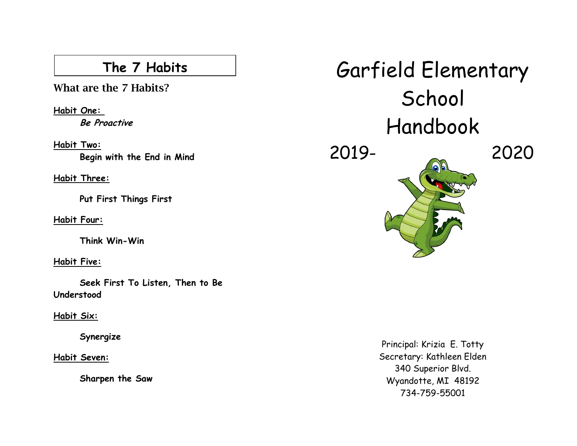**What are the 7 Habits?**

**Habit One: Be Proactive**

**Habit Two: Begin with the End in Mind**

**Habit Three:**

**Put First Things First**

**Habit Four:** 

**Think Win-Win**

**Habit Five:** 

**Seek First To Listen, Then to Be Understood**

**Habit Six:** 

**Synergize**

**Habit Seven:** 

**Sharpen the Saw**

The 7 Habits **Garfield Elementary** School Handbook 2019- 2020

> Principal: Krizia E. Totty Secretary: Kathleen Elden 340 Superior Blvd. Wyandotte, MI 48192 734-759-55001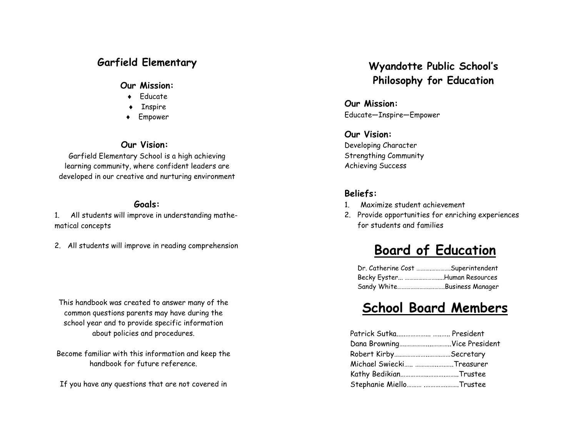### **Garfield Elementary**

#### **Our Mission:**

- Educate
- $\triangleleft$  Inspire
- Empower

### **Our Vision:**

Garfield Elementary School is a high achieving learning community, where confident leaders are developed in our creative and nurturing environment

### **Goals:**

1. All students will improve in understanding mathematical concepts

2. All students will improve in reading comprehension

This handbook was created to answer many of the common questions parents may have during the school year and to provide specific information about policies and procedures.

Become familiar with this information and keep the handbook for future reference.

If you have any questions that are not covered in

### **Wyandotte Public School's Philosophy for Education**

**Our Mission:** Educate—Inspire—Empower

**Our Vision:** Developing Character Strengthing Community Achieving Success

### **Beliefs:**

- 1. Maximize student achievement
- 2. Provide opportunities for enriching experiences for students and families

## **Board of Education**

| Dr. Catherine Cost Superintendent |  |
|-----------------------------------|--|
| Becky Eyster Human Resources      |  |
| Sandy WhiteBusiness Manager       |  |

### **School Board Members**

| Patrick Sutka  President    |  |
|-----------------------------|--|
| Dana BrowningVice President |  |
| Robert KirbySecretary       |  |
| Michael Swiecki Treasurer   |  |
| Kathy BedikianTrustee       |  |
| Stephanie Miello  Trustee   |  |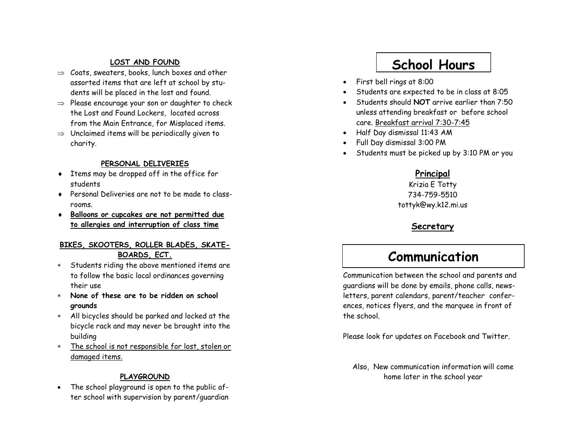#### **LOST AND FOUND**

- $\Rightarrow$  Coats, sweaters, books, lunch boxes and other assorted items that are left at school by students will be placed in the lost and found.
- $\Rightarrow$  Please encourage your son or daughter to check the Lost and Found Lockers, located across from the Main Entrance, for Misplaced items.
- $\Rightarrow$  Unclaimed items will be periodically given to charity.

#### **PERSONAL DELIVERIES**

- Items may be dropped off in the office for students
- Personal Deliveries are not to be made to classrooms.
- **Balloons or cupcakes are not permitted due to allergies and interruption of class time**

#### **BIKES, SKOOTERS, ROLLER BLADES, SKATE-BOARDS, ECT.**

- Students riding the above mentioned items are to follow the basic local ordinances governing their use
- **None of these are to be ridden on school grounds**
- All bicycles should be parked and locked at the bicycle rack and may never be brought into the building
- \* The school is not responsible for lost, stolen or damaged items.

#### **PLAYGROUND**

 The school playground is open to the public after school with supervision by parent/guardian

## **School Hours**

- First bell rings at 8:00
- Students are expected to be in class at 8:05
- Students should **NOT** arrive earlier than 7:50 unless attending breakfast or before school care. Breakfast arrival 7:30 -7:45
- Half Day dismissal 11:43 AM
- Full Day dismissal 3:00 PM
- Students must be picked up by 3:10 PM or you

### **Principal**

Krizia E Totty 734 -759 -5510 tottyk@wy.k12.mi.us

### **Secretary**

### **Communication**

Communication between the school and parents and guardians will be done by emails, phone calls, newsletters, parent calendars, parent/teacher conferences, notices flyers, and the marquee in front of the school.

Please look for updates on Facebook and Twitter.

Also, New communication information will come home later in the school year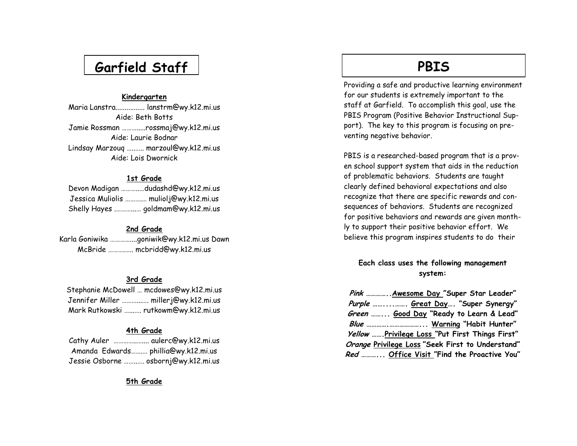## **Garfield Staff**

#### **Kindergarten**

Maria Lanstra................ lanstrm@wy.k12.mi.us Aide: Beth Botts Jamie Rossman ……….....rossmaj@wy.k12.mi.us Aide: Laurie Bodnar Lindsay Marzouq …..….. marzoul@wy.k12.mi.us Aide: Lois Dwornick

#### **1st Grade**

Devon Madigan ………..…dudashd@wy.k12.mi.us Jessica Muliolis ……….… muliolj@wy.k12.mi.us Shelly Hayes .………...… goldmam@wy.k12.mi.us

#### **2nd Grade**

Karla Goniwika …………....goniwik@wy.k12.mi.us Dawn McBride ……….….. mcbridd@wy.k12.mi.us

#### **3rd Grade**

Stephanie McDowell … mcdowes@wy.k12.mi.us Jennifer Miller ………...…. millerj@wy.k12.mi.us Mark Rutkowski …...…. rutkowm@wy.k12.mi.us

#### **4th Grade**

| Cathy Auler  aulerc@wy.k12.mi.us     |  |
|--------------------------------------|--|
| Amanda Edwards phillia@wy.k12.mi.us  |  |
| Jessie Osborne  osbornj@wy.k12.mi.us |  |

**5th Grade**

### **PBIS**

Providing a safe and productive learning environment for our students is extremely important to the staff at Garfield. To accomplish this goal, use the PBIS Program (Positive Behavior Instructional Support). The key to this program is focusing on preventing negative behavior.

PBIS is a researched -based program that is a proven school support system that aids in the reduction of problematic behaviors. Students are taught clearly defined behavioral expectations and also recognize that there are specific rewards and consequences of behaviors. Students are recognized for positive behaviors and rewards are given monthly to support their positive behavior effort. We believe this program inspires students to do their

### **Each class uses the following management system:**

| Pink  Awesome Day "Super Star Leader"                 |
|-------------------------------------------------------|
| Purple  Great Day "Super Synergy"                     |
| Green  Good Day "Ready to Learn & Lead"               |
|                                                       |
| <i>Yellow</i> Privilege Loss "Put First Things First" |
| Orange Privilege Loss "Seek First to Understand"      |
| <i>Red </i> Office Visit "Find the Proactive You"     |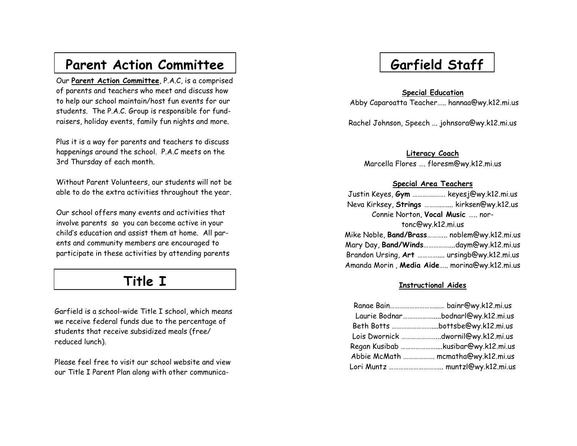### **Parent Action Committee**

Our **Parent Action Committee**, P.A.C, is a comprised of parents and teachers who meet and discuss how to help our school maintain/host fun events for our students. The P.A.C. Group is responsible for fundraisers, holiday events, family fun nights and more.

Plus it is a way for parents and teachers to discuss happenings around the school. P.A.C meets on the 3rd Thursday of each month.

Without Parent Volunteers, our students will not be able to do the extra activities throughout the year.

Our school offers many events and activities that involve parents so you can become active in your child's education and assist them at home. All parents and community members are encouraged to participate in these activities by attending parents

### **Title I**

Garfield is a school -wide Title I school, which means we receive federal funds due to the percentage of students that receive subsidized meals (free/ reduced lunch).

Please feel free to visit our school website and view our Title I Parent Plan along with other communica-

# **Garfield Staff**

**Special Education** 

Abby Caparoatta Teacher….. hannaa@wy.k12.mi.us

Rachel Johnson, Speech ... johnsora@wy.k12.mi.us

**Literacy Coach**

Marcella Flores …. floresm@wy.k12.mi.us

#### **Special Area Teachers**

| Justin Keyes, Gym  keyesj@wy.k12.mi.us            |  |  |
|---------------------------------------------------|--|--|
| Neva Kirksey, Strings  kirksen@wy.k12.us          |  |  |
| Connie Norton, Vocal Music  nor-                  |  |  |
| tonc@wy.k12.mi.us                                 |  |  |
| Mike Noble, <b>Band/Brass</b> noblem@wy.k12.mi.us |  |  |
| Mary Day, Band/Windsdaym@wy.k12.mi.us             |  |  |
| Brandon Ursing, Art  ursingb@wy.k12.mi.us         |  |  |
| Amanda Morin, Media Aide morina@wy.k12.mi.us      |  |  |

#### **Instructional Aides**

|                                    | Laurie Bodnarbodnarl@wy.k12.mi.us |
|------------------------------------|-----------------------------------|
|                                    |                                   |
| Lois Dwornick dwornil@wy.k12.mi.us |                                   |
| Regan Kusibab kusibar@wy.k12.mi.us |                                   |
| Abbie McMath  mcmatha@wy.k12.mi.us |                                   |
|                                    |                                   |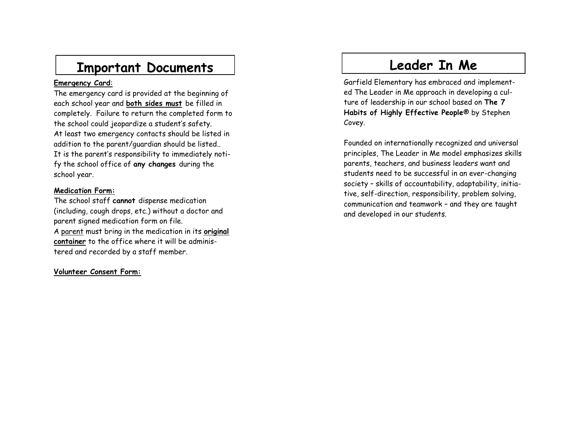## **Important Documents**

#### **Emergency Card** :

The emergency card is provided at the beginning of each school year and **both sides must** be filled in completely. Failure to return the completed form to the school could jeopardize a student's safety. At least two emergency contacts should be listed in addition to the parent/guardian should be listed.. It is the parent's responsibility to immediately notify the school office of **any changes** during the school year.

#### **Medication Form:**

The school staff **cannot** dispense medication (including, cough drops, etc.) without a doctor and parent signed medication form on file. A parent must bring in the medication in its **original container** to the office where it will be administered and recorded by a staff member.

#### **Volunteer Consent Form:**

## **Leader In Me**

Garfield Elementary has embraced and implemented The Leader in Me approach in developing a culture of leadership in our school based on **The 7 Habits of Highly Effective People**® by Stephen Covey.

Founded on internationally recognized and universal principles, The Leader in Me model emphasizes skills parents, teachers, and business leaders want and students need to be successful in an ever -changing society – skills of accountability, adaptability, initiative, self-direction, responsibility, problem solving, communication and teamwork – and they are taught and developed in our students.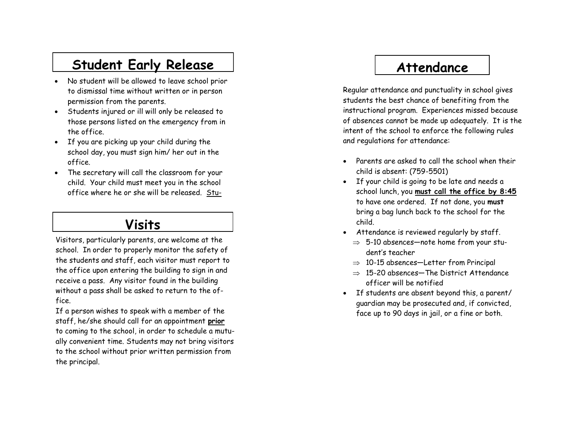## **Student Early Release**

- No student will be allowed to leave school prior to dismissal time without written or in person permission from the parents.
- Students injured or ill will only be released to those persons listed on the emergency from in the office.
- If you are picking up your child during the school day, you must sign him/ her out in the office.
- The secretary will call the classroom for your child. Your child must meet you in the school office where he or she will be released. Stu-

### **Visits**

Visitors, particularly parents, are welcome at the school. In order to properly monitor the safety of the students and staff, each visitor must report to the office upon entering the building to sign in and receive a pass. Any visitor found in the building without a pass shall be asked to return to the office.

If a person wishes to speak with a member of the staff, he/she should call for an appointment **prior**  to coming to the school, in order to schedule a mutually convenient time. Students may not bring visitors to the school without prior written permission from the principal.

## **Attendance**

Regular attendance and punctuality in school gives students the best chance of benefiting from the instructional program. Experiences missed because of absences cannot be made up adequately. It is the intent of the school to enforce the following rules and regulations for attendance:

- Parents are asked to call the school when their child is absent: (759 -5501)
- If your child is going to be late and needs a school lunch, you **must call the office by 8:45**  to have one ordered. If not done, you **must** bring a bag lunch back to the school for the child.
- Attendance is reviewed regularly by staff.
	- $\Rightarrow$  5-10 absences—note home from your student's teacher
	- $\Rightarrow$  10-15 absences—Letter from Principal
	- $\Rightarrow$  15-20 absences—The District Attendance officer will be notified
- If students are absent beyond this, a parent/ guardian may be prosecuted and, if convicted, face up to 90 days in jail, or a fine or both.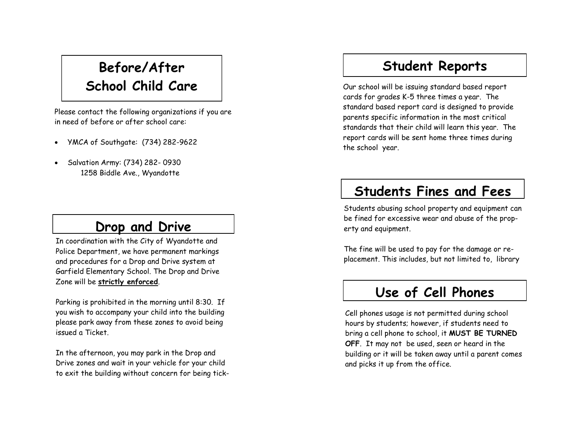## **Before/After School Child Care**

Please contact the following organizations if you are in need of before or after school care:

- YMCA of Southgate: (734) 282-9622
- Salvation Army: (734) 282- 0930 1258 Biddle Ave., Wyandotte

### **Drop and Drive**

In coordination with the City of Wyandotte and Police Department, we have permanent markings and procedures for a Drop and Drive system at Garfield Elementary School. The Drop and Drive Zone will be **strictly enforced**.

Parking is prohibited in the morning until 8:30. If you wish to accompany your child into the building please park away from these zones to avoid being issued a Ticket.

In the afternoon, you may park in the Drop and Drive zones and wait in your vehicle for your child to exit the building without concern for being tick-

### **Student Reports**

Our school will be issuing standard based report cards for grades K -5 three times a year. The standard based report card is designed to provide parents specific information in the most critical standards that their child will learn this year. The report cards will be sent home three times during the school year.

### **Students Fines and Fees**

Students abusing school property and equipment can be fined for excessive wear and abuse of the property and equipment.

The fine will be used to pay for the damage or replacement. This includes, but not limited to, library

## **Use of Cell Phones**

Cell phones usage is not permitted during school hours by students; however, if students need to bring a cell phone to school, it **MUST BE TURNED OFF**. It may not be used, seen or heard in the building or it will be taken away until a parent comes and picks it up from the office.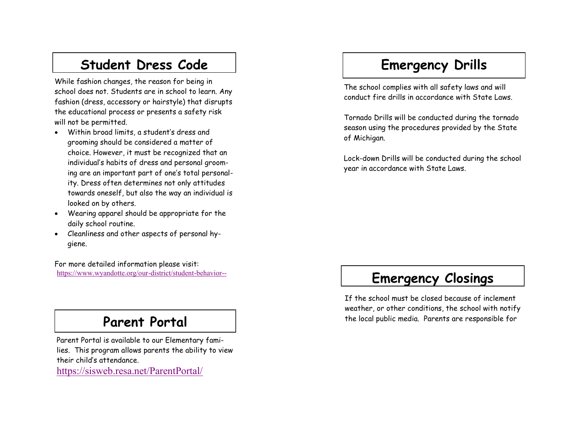## **Student Dress Code**

While fashion changes, the reason for being in school does not. Students are in school to learn. Any fashion (dress, accessory or hairstyle) that disrupts the educational process or presents a safety risk will not be permitted.

- Within broad limits, a student's dress and grooming should be considered a matter of choice. However, it must be recognized that an individual's habits of dress and personal grooming are an important part of one's total personal ity. Dress often determines not only attitudes towards oneself, but also the way an individual is looked on by others.
- Wearing apparel should be appropriate for the daily school routine.
- Cleanliness and other aspects of personal hygiene.

For more detailed information please visit: [https://www.wyandotte.org/our](https://www.wyandotte.org/our-district/student-behavior--code-of-conduct-policy--procedures/) -district/student -behavior--

### **Parent Portal**

Parent Portal is available to our Elementary families. This program allows parents the ability to view their child's attendance. <https://sisweb.resa.net/ParentPortal/>

## **Emergency Drills**

The school complies with all safety laws and will conduct fire drills in accordance with State Laws.

Tornado Drills will be conducted during the tornado season using the procedures provided by the State of Michigan.

Lock -down Drills will be conducted during the school year in accordance with State Laws.

## **Emergency Closings**

If the school must be closed because of inclement weather, or other conditions, the school with notify the local public media. Parents are responsible for